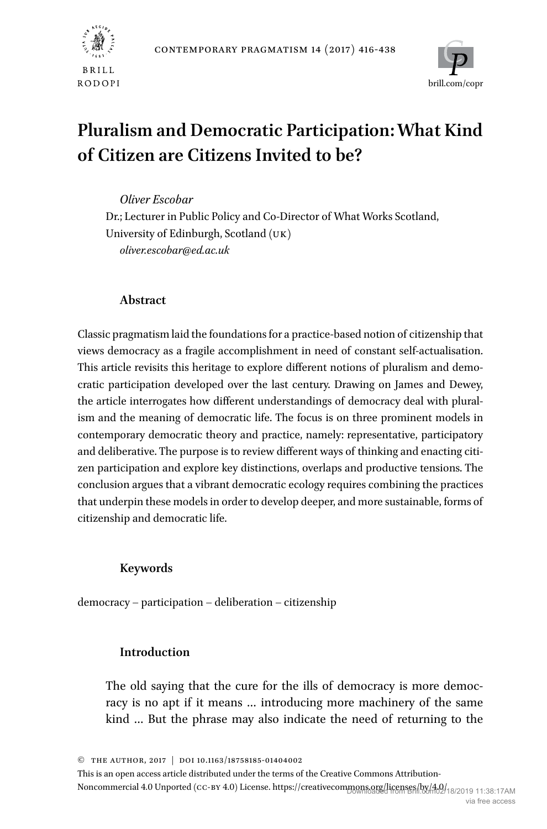



# **Pluralism and Democratic Participation: What Kind of Citizen are Citizens Invited to be?**

*Oliver Escobar*

Dr.; Lecturer in Public Policy and Co-Director of What Works Scotland, University of Edinburgh, Scotland (UK) *oliver.escobar@ed.ac.uk*

## **Abstract**

Classic pragmatism laid the foundations for a practice-based notion of citizenship that views democracy as a fragile accomplishment in need of constant self-actualisation. This article revisits this heritage to explore different notions of pluralism and democratic participation developed over the last century. Drawing on James and Dewey, the article interrogates how different understandings of democracy deal with pluralism and the meaning of democratic life. The focus is on three prominent models in contemporary democratic theory and practice, namely: representative, participatory and deliberative. The purpose is to review different ways of thinking and enacting citizen participation and explore key distinctions, overlaps and productive tensions. The conclusion argues that a vibrant democratic ecology requires combining the practices that underpin these models in order to develop deeper, and more sustainable, forms of citizenship and democratic life.

## **Keywords**

democracy – participation – deliberation – citizenship

## **Introduction**

The old saying that the cure for the ills of democracy is more democracy is no apt if it means … introducing more machinery of the same kind … But the phrase may also indicate the need of returning to the

This is an open access article distributed under the terms of the Creative Commons Attribution-

Noncommercial 4.0 Unported (СС-в<code>Y</code> 4.0) License. https://creativecommons.org/licenses/lby/402/18/2019 11:38:17AM

<sup>©</sup> The Author, 2017 | doi 10.1163/18758185-01404002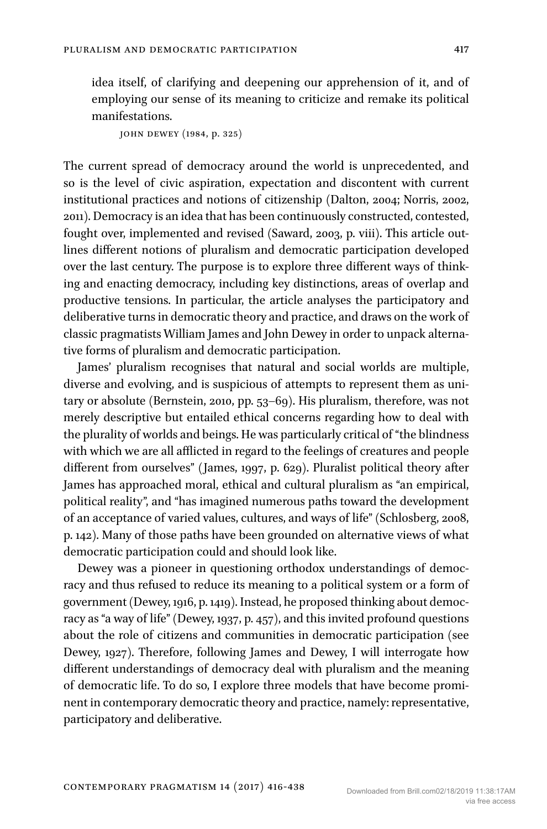idea itself, of clarifying and deepening our apprehension of it, and of employing our sense of its meaning to criticize and remake its political manifestations.

```
john dewey (1984, p. 325)
```
The current spread of democracy around the world is unprecedented, and so is the level of civic aspiration, expectation and discontent with current institutional practices and notions of citizenship ([Dalton, 2004; Norris, 2002,](#page-19-1) [2011](#page-19-1)). Democracy is an idea that has been continuously constructed, contested, fought over, implemented and revised ([Saward, 2003](#page-21-0), p. viii). This article outlines different notions of pluralism and democratic participation developed over the last century. The purpose is to explore three different ways of thinking and enacting democracy, including key distinctions, areas of overlap and productive tensions. In particular, the article analyses the participatory and deliberative turns in democratic theory and practice, and draws on the work of classic pragmatists William James and John Dewey in order to unpack alternative forms of pluralism and democratic participation.

James' pluralism recognises that natural and social worlds are multiple, diverse and evolving, and is suspicious of attempts to represent them as unitary or absolute [\(Bernstein, 2010](#page-18-0), pp. 53–69). His pluralism, therefore, was not merely descriptive but entailed ethical concerns regarding how to deal with the plurality of worlds and beings. He was particularly critical of "the blindness with which we are all afflicted in regard to the feelings of creatures and people different from ourselves" ([James, 1997](#page-20-0), p. 629). Pluralist political theory after James has approached moral, ethical and cultural pluralism as "an empirical, political reality", and "has imagined numerous paths toward the development of an acceptance of varied values, cultures, and ways of life" [\(Schlosberg, 2008,](#page-21-1) p. 142). Many of those paths have been grounded on alternative views of what democratic participation could and should look like.

Dewey was a pioneer in questioning orthodox understandings of democracy and thus refused to reduce its meaning to a political system or a form of government [\(Dewey, 1916,](#page-19-2) p. 1419). Instead, he proposed thinking about democracy as "a way of life" [\(Dewey, 1937,](#page-19-3) p. 457), and this invited profound questions about the role of citizens and communities in democratic participation (see [Dewey, 1927](#page-19-4)). Therefore, following James and Dewey, I will interrogate how different understandings of democracy deal with pluralism and the meaning of democratic life. To do so, I explore three models that have become prominent in contemporary democratic theory and practice, namely: representative, participatory and deliberative.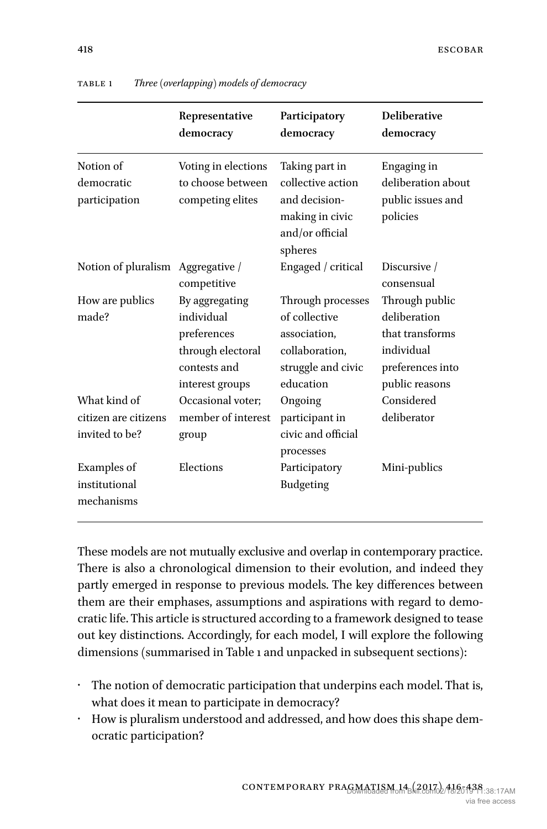<span id="page-2-0"></span>

|                                                        | Representative<br>democracy                                                                         | Participatory<br>democracy                                                                              | <b>Deliberative</b><br>democracy                                                                      |
|--------------------------------------------------------|-----------------------------------------------------------------------------------------------------|---------------------------------------------------------------------------------------------------------|-------------------------------------------------------------------------------------------------------|
| Notion of<br>democratic<br>participation               | Voting in elections<br>to choose between<br>competing elites                                        | Taking part in<br>collective action<br>and decision-<br>making in civic<br>and/or official<br>spheres   | Engaging in<br>deliberation about<br>public issues and<br>policies                                    |
| Notion of pluralism                                    | Aggregative /<br>competitive                                                                        | Engaged / critical                                                                                      | Discursive /<br>consensual                                                                            |
| How are publics<br>made?                               | By aggregating<br>individual<br>preferences<br>through electoral<br>contests and<br>interest groups | Through processes<br>of collective<br>association,<br>collaboration,<br>struggle and civic<br>education | Through public<br>deliberation<br>that transforms<br>individual<br>preferences into<br>public reasons |
| What kind of<br>citizen are citizens<br>invited to be? | Occasional voter;<br>member of interest<br>group                                                    | Ongoing<br>participant in<br>civic and official<br>processes                                            | Considered<br>deliberator                                                                             |
| Examples of<br>institutional<br>mechanisms             | Elections                                                                                           | Participatory<br>Budgeting                                                                              | Mini-publics                                                                                          |

Table 1 *Three (overlapping) models of democracy*

These models are not mutually exclusive and overlap in contemporary practice. There is also a chronological dimension to their evolution, and indeed they partly emerged in response to previous models. The key differences between them are their emphases, assumptions and aspirations with regard to democratic life. This article is structured according to a framework designed to tease out key distinctions. Accordingly, for each model, I will explore the following dimensions (summarised in [Table 1](#page-2-0) and unpacked in subsequent sections):

- The notion of democratic participation that underpins each model. That is, what does it mean to participate in democracy?
- How is pluralism understood and addressed, and how does this shape democratic participation?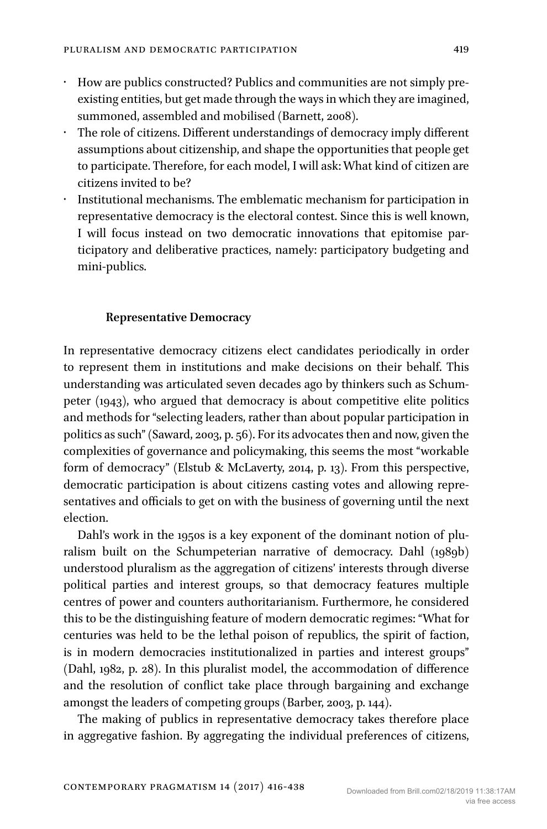- How are publics constructed? Publics and communities are not simply preexisting entities, but get made through the ways in which they are imagined, summoned, assembled and mobilised ([Barnett, 2008](#page-18-1)).
- The role of citizens. Different understandings of democracy imply different assumptions about citizenship, and shape the opportunities that people get to participate. Therefore, for each model, I will ask: What kind of citizen are citizens invited to be?
- Institutional mechanisms. The emblematic mechanism for participation in representative democracy is the electoral contest. Since this is well known, I will focus instead on two democratic innovations that epitomise participatory and deliberative practices, namely: participatory budgeting and mini-publics.

#### **Representative Democracy**

In representative democracy citizens elect candidates periodically in order to represent them in institutions and make decisions on their behalf. This understanding was articulated seven decades ago by thinkers such as [Schum](#page-21-2)[peter \(1943\),](#page-21-2) who argued that democracy is about competitive elite politics and methods for "selecting leaders, rather than about popular participation in politics as such" [\(Saward, 2003](#page-21-0), p. 56). For its advocates then and now, given the complexities of governance and policymaking, this seems the most "workable form of democracy" ([Elstub & McLaverty, 2014,](#page-19-5) p. 13). From this perspective, democratic participation is about citizens casting votes and allowing representatives and officials to get on with the business of governing until the next election.

Dahl's work in the 1950s is a key exponent of the dominant notion of pluralism built on the Schumpeterian narrative of democracy. [Dahl \(1989b\)](#page-19-6) understood pluralism as the aggregation of citizens' interests through diverse political parties and interest groups, so that democracy features multiple centres of power and counters authoritarianism. Furthermore, he considered this to be the distinguishing feature of modern democratic regimes: "What for centuries was held to be the lethal poison of republics, the spirit of faction, is in modern democracies institutionalized in parties and interest groups" ([Dahl, 1982,](#page-19-7) p. 28). In this pluralist model, the accommodation of difference and the resolution of conflict take place through bargaining and exchange amongst the leaders of competing groups ([Barber, 2003,](#page-18-2) p. 144).

The making of publics in representative democracy takes therefore place in aggregative fashion. By aggregating the individual preferences of citizens,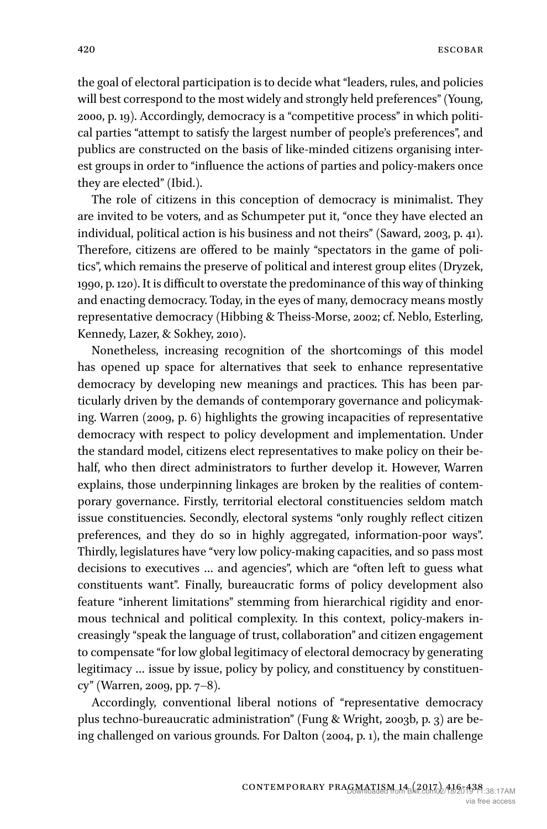the goal of electoral participation is to decide what "leaders, rules, and policies will best correspond to the most widely and strongly held preferences" [\(Young,](#page-22-0) [2000](#page-22-0), p. 19). Accordingly, democracy is a "competitive process" in which political parties "attempt to satisfy the largest number of people's preferences", and publics are constructed on the basis of like-minded citizens organising interest groups in order to "influence the actions of parties and policy-makers once they are elected" (Ibid.).

The role of citizens in this conception of democracy is minimalist. They are invited to be voters, and as Schumpeter put it, "once they have elected an individual, political action is his business and not theirs" ([Saward, 2003,](#page-21-0) p. 41). Therefore, citizens are offered to be mainly "spectators in the game of politics", which remains the preserve of political and interest group elites [\(Dryzek,](#page-19-8) [1990,](#page-19-8) p. 120). It is difficult to overstate the predominance of this way of thinking and enacting democracy. Today, in the eyes of many, democracy means mostly representative democracy [\(Hibbing & Theiss-Morse, 2002](#page-20-1); cf. [Neblo, Esterling,](#page-21-3) [Kennedy, Lazer, & Sokhey, 2010\)](#page-21-3).

Nonetheless, increasing recognition of the shortcomings of this model has opened up space for alternatives that seek to enhance representative democracy by developing new meanings and practices. This has been particularly driven by the demands of contemporary governance and policymaking. [Warren \(2009, p. 6\)](#page-22-1) highlights the growing incapacities of representative democracy with respect to policy development and implementation. Under the standard model, citizens elect representatives to make policy on their behalf, who then direct administrators to further develop it. However, Warren explains, those underpinning linkages are broken by the realities of contemporary governance. Firstly, territorial electoral constituencies seldom match issue constituencies. Secondly, electoral systems "only roughly reflect citizen preferences, and they do so in highly aggregated, information-poor ways". Thirdly, legislatures have "very low policy-making capacities, and so pass most decisions to executives … and agencies", which are "often left to guess what constituents want". Finally, bureaucratic forms of policy development also feature "inherent limitations" stemming from hierarchical rigidity and enormous technical and political complexity. In this context, policy-makers increasingly "speak the language of trust, collaboration" and citizen engagement to compensate "for low global legitimacy of electoral democracy by generating legitimacy ... issue by issue, policy by policy, and constituency by constituency" [\(Warren, 2009,](#page-22-1) pp. 7–8).

Accordingly, conventional liberal notions of "representative democracy plus techno-bureaucratic administration" [\(Fung & Wright, 2003b](#page-20-2), p. 3) are being challenged on various grounds. For [Dalton \(2004, p. 1\)](#page-19-1), the main challenge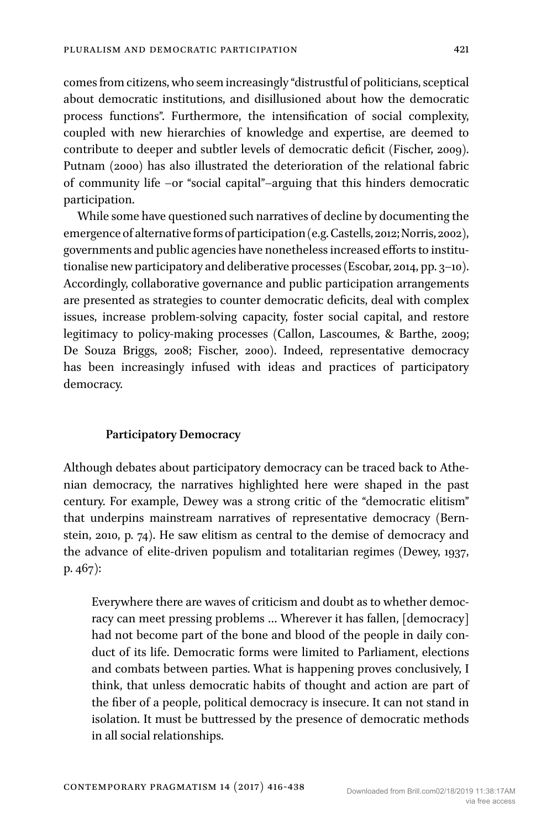comes from citizens, who seem increasingly "distrustful of politicians, sceptical about democratic institutions, and disillusioned about how the democratic process functions". Furthermore, the intensification of social complexity, coupled with new hierarchies of knowledge and expertise, are deemed to contribute to deeper and subtler levels of democratic deficit [\(Fischer, 2009](#page-19-9)). [Putnam \(2000\)](#page-21-4) has also illustrated the deterioration of the relational fabric of community life –or "social capital"–arguing that this hinders democratic participation.

While some have questioned such narratives of decline by documenting the emergence of alternative forms of participation (e.g. [Castells, 2012; Norris, 2002](#page-18-3)), governments and public agencies have nonetheless increased efforts to institutionalise new participatory and deliberative processes ([Escobar, 2014](#page-19-10), pp. 3–10). Accordingly, collaborative governance and public participation arrangements are presented as strategies to counter democratic deficits, deal with complex issues, increase problem-solving capacity, foster social capital, and restore legitimacy to policy-making processes ([Callon, Lascoumes, & Barthe, 2009;](#page-18-4)  [De Souza Briggs, 2008; Fischer, 2000\)](#page-18-4). Indeed, representative democracy has been increasingly infused with ideas and practices of participatory democracy.

#### **Participatory Democracy**

Although debates about participatory democracy can be traced back to Athenian democracy, the narratives highlighted here were shaped in the past century. For example, Dewey was a strong critic of the "democratic elitism" that underpins mainstream narratives of representative democracy ([Bern](#page-18-0)[stein, 2010,](#page-18-0) p. 74). He saw elitism as central to the demise of democracy and the advance of elite-driven populism and totalitarian regimes ([Dewey, 1937,](#page-19-3) p. 467):

Everywhere there are waves of criticism and doubt as to whether democracy can meet pressing problems … Wherever it has fallen, [democracy] had not become part of the bone and blood of the people in daily conduct of its life. Democratic forms were limited to Parliament, elections and combats between parties. What is happening proves conclusively, I think, that unless democratic habits of thought and action are part of the fiber of a people, political democracy is insecure. It can not stand in isolation. It must be buttressed by the presence of democratic methods in all social relationships.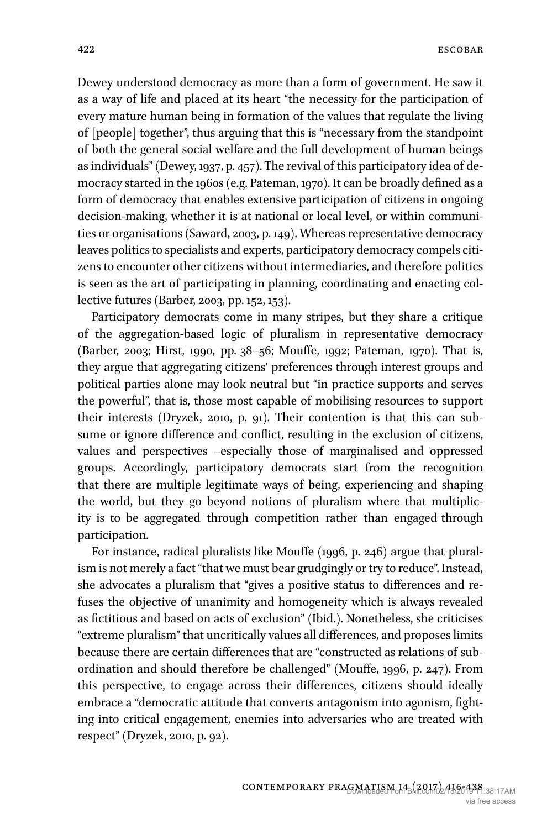Dewey understood democracy as more than a form of government. He saw it as a way of life and placed at its heart "the necessity for the participation of every mature human being in formation of the values that regulate the living of [people] together", thus arguing that this is "necessary from the standpoint of both the general social welfare and the full development of human beings as individuals" [\(Dewey, 1937,](#page-19-3) p. 457). The revival of this participatory idea of democracy started in the 1960s (e.g. [Pateman, 1970\)](#page-21-5). It can be broadly defined as a form of democracy that enables extensive participation of citizens in ongoing decision-making, whether it is at national or local level, or within communities or organisations [\(Saward, 2003](#page-21-0), p. 149). Whereas representative democracy leaves politics to specialists and experts, participatory democracy compels citizens to encounter other citizens without intermediaries, and therefore politics is seen as the art of participating in planning, coordinating and enacting collective futures ([Barber, 2003,](#page-18-2) pp. 152, 153).

Participatory democrats come in many stripes, but they share a critique of the aggregation-based logic of pluralism in representative democracy ([Barber, 2003; Hirst, 1990,](#page-18-2) pp. 38–56; [Mouffe, 1992; Pateman, 1970](#page-21-6)). That is, they argue that aggregating citizens' preferences through interest groups and political parties alone may look neutral but "in practice supports and serves the powerful", that is, those most capable of mobilising resources to support their interests ([Dryzek, 2010,](#page-19-11) p. 91). Their contention is that this can subsume or ignore difference and conflict, resulting in the exclusion of citizens, values and perspectives –especially those of marginalised and oppressed groups. Accordingly, participatory democrats start from the recognition that there are multiple legitimate ways of being, experiencing and shaping the world, but they go beyond notions of pluralism where that multiplicity is to be aggregated through competition rather than engaged through participation.

For instance, radical pluralists like [Mouffe \(1996, p. 246\)](#page-21-7) argue that pluralism is not merely a fact "that we must bear grudgingly or try to reduce". Instead, she advocates a pluralism that "gives a positive status to differences and refuses the objective of unanimity and homogeneity which is always revealed as fictitious and based on acts of exclusion" (Ibid.). Nonetheless, she criticises "extreme pluralism" that uncritically values all differences, and proposes limits because there are certain differences that are "constructed as relations of subordination and should therefore be challenged" [\(Mouffe, 1996](#page-21-7), p. 247). From this perspective, to engage across their differences, citizens should ideally embrace a "democratic attitude that converts antagonism into agonism, fighting into critical engagement, enemies into adversaries who are treated with respect" ([Dryzek, 2010](#page-19-11), p. 92).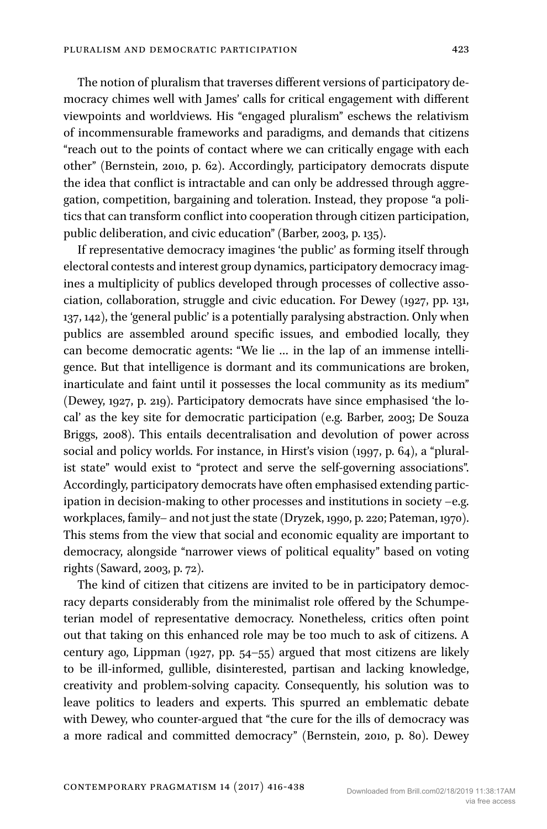The notion of pluralism that traverses different versions of participatory democracy chimes well with James' calls for critical engagement with different viewpoints and worldviews. His "engaged pluralism" eschews the relativism of incommensurable frameworks and paradigms, and demands that citizens "reach out to the points of contact where we can critically engage with each other" [\(Bernstein, 2010](#page-18-0), p. 62). Accordingly, participatory democrats dispute the idea that conflict is intractable and can only be addressed through aggregation, competition, bargaining and toleration. Instead, they propose "a politics that can transform conflict into cooperation through citizen participation, public deliberation, and civic education" ([Barber, 2003,](#page-18-2) p. 135).

If representative democracy imagines 'the public' as forming itself through electoral contests and interest group dynamics, participatory democracy imagines a multiplicity of publics developed through processes of collective association, collaboration, struggle and civic education. For [Dewey \(1927, pp. 131,](#page-19-4) [137, 142\)](#page-19-4), the 'general public' is a potentially paralysing abstraction. Only when publics are assembled around specific issues, and embodied locally, they can become democratic agents: "We lie … in the lap of an immense intelligence. But that intelligence is dormant and its communications are broken, inarticulate and faint until it possesses the local community as its medium" ([Dewey, 1927](#page-19-4), p. 219). Participatory democrats have since emphasised 'the local' as the key site for democratic participation (e.g. [Barber, 2003; De Souza](#page-18-2) [Briggs, 2008](#page-18-2)). This entails decentralisation and devolution of power across social and policy worlds. For instance, in [Hirst's vision \(1997, p. 64\)](#page-20-3), a "pluralist state" would exist to "protect and serve the self-governing associations". Accordingly, participatory democrats have often emphasised extending participation in decision-making to other processes and institutions in society –e.g. workplaces, family– and not just the state ([Dryzek, 1990,](#page-19-8) p. 220; [Pateman, 1970](#page-21-5)). This stems from the view that social and economic equality are important to democracy, alongside "narrower views of political equality" based on voting rights ([Saward, 2003,](#page-21-0) p. 72).

The kind of citizen that citizens are invited to be in participatory democracy departs considerably from the minimalist role offered by the Schumpeterian model of representative democracy. Nonetheless, critics often point out that taking on this enhanced role may be too much to ask of citizens. A century ago, [Lippman \(1927, pp. 54–55\)](#page-20-4) argued that most citizens are likely to be ill-informed, gullible, disinterested, partisan and lacking knowledge, creativity and problem-solving capacity. Consequently, his solution was to leave politics to leaders and experts. This spurred an emblematic debate with Dewey, who counter-argued that "the cure for the ills of democracy was a more radical and committed democracy" ([Bernstein, 2010](#page-18-0), p. 80). Dewey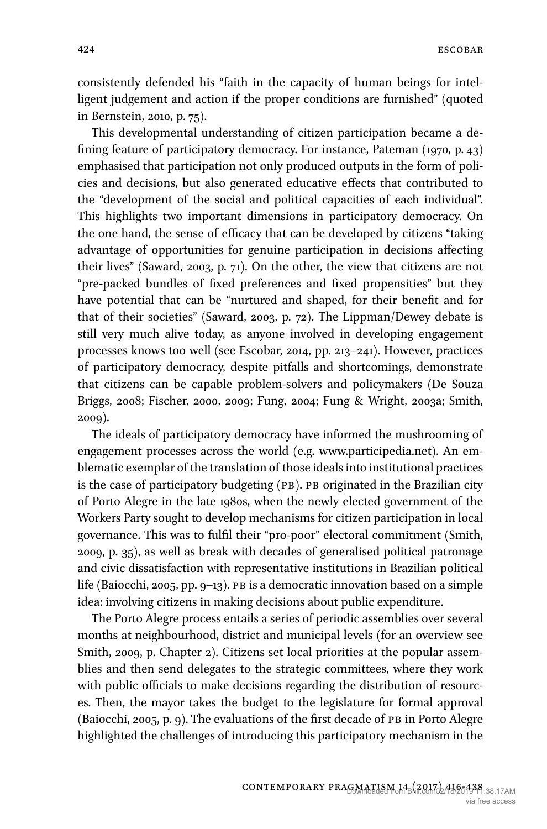consistently defended his "faith in the capacity of human beings for intelligent judgement and action if the proper conditions are furnished" (quoted in [Bernstein, 2010,](#page-18-0) p. 75).

This developmental understanding of citizen participation became a defining feature of participatory democracy. For instance, [Pateman \(1970, p. 43\)](#page-21-5) emphasised that participation not only produced outputs in the form of policies and decisions, but also generated educative effects that contributed to the "development of the social and political capacities of each individual". This highlights two important dimensions in participatory democracy. On the one hand, the sense of efficacy that can be developed by citizens "taking advantage of opportunities for genuine participation in decisions affecting their lives" [\(Saward, 2003](#page-21-0), p. 71). On the other, the view that citizens are not "pre-packed bundles of fixed preferences and fixed propensities" but they have potential that can be "nurtured and shaped, for their benefit and for that of their societies" [\(Saward, 2003,](#page-21-0) p. 72). The Lippman/Dewey debate is still very much alive today, as anyone involved in developing engagement processes knows too well (see [Escobar, 2014](#page-19-10), pp. 213–241). However, practices of participatory democracy, despite pitfalls and shortcomings, demonstrate that citizens can be capable problem-solvers and policymakers [\(De Souza](#page-19-12) [Briggs, 2008; Fischer, 2000, 2009; Fung, 2004; Fung & Wright, 2003a; Smith,](#page-19-12) [2009](#page-19-12)).

The ideals of participatory democracy have informed the mushrooming of engagement processes across the world (e.g. [www.participedia.net\)](http://www.participedia.net). An emblematic exemplar of the translation of those ideals into institutional practices is the case of participatory budgeting (PB). PB originated in the Brazilian city of Porto Alegre in the late 1980s, when the newly elected government of the Workers Party sought to develop mechanisms for citizen participation in local governance. This was to fulfil their "pro-poor" electoral commitment ([Smith,](#page-22-2) [2009](#page-22-2), p. 35), as well as break with decades of generalised political patronage and civic dissatisfaction with representative institutions in Brazilian political life [\(Baiocchi, 2005](#page-18-5), pp. 9–13). PB is a democratic innovation based on a simple idea: involving citizens in making decisions about public expenditure.

The Porto Alegre process entails a series of periodic assemblies over several months at neighbourhood, district and municipal levels (for an overview see [Smith, 2009](#page-22-2), p. Chapter 2). Citizens set local priorities at the popular assemblies and then send delegates to the strategic committees, where they work with public officials to make decisions regarding the distribution of resources. Then, the mayor takes the budget to the legislature for formal approval ([Baiocchi, 2005](#page-18-5), p. 9). The evaluations of the first decade of PB in Porto Alegre highlighted the challenges of introducing this participatory mechanism in the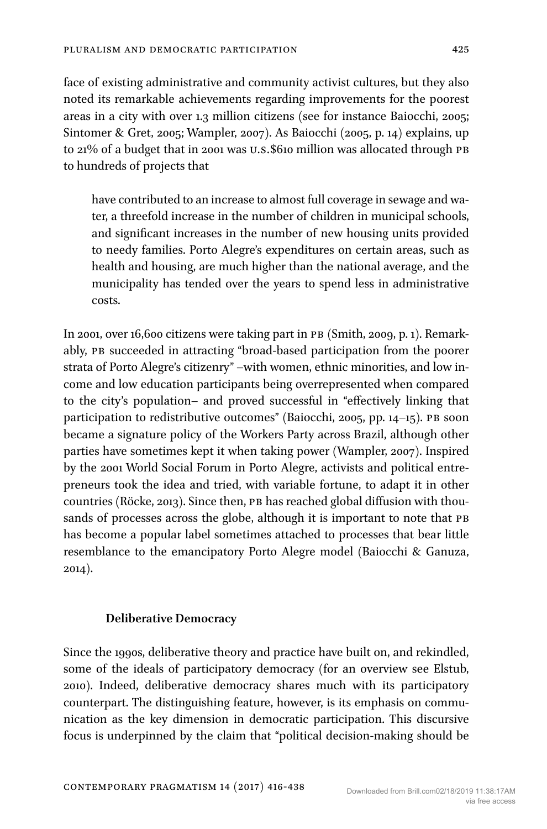face of existing administrative and community activist cultures, but they also noted its remarkable achievements regarding improvements for the poorest areas in a city with over 1.3 million citizens (see for instance [Baiocchi, 2005;](#page-18-5) [Sintomer & Gret, 2005; Wampler, 2007\)](#page-18-5). As [Baiocchi \(2005, p. 14\)](#page-18-5) explains, up to 21% of a budget that in 2001 was U.S.\$610 million was allocated through PB to hundreds of projects that

have contributed to an increase to almost full coverage in sewage and water, a threefold increase in the number of children in municipal schools, and significant increases in the number of new housing units provided to needy families. Porto Alegre's expenditures on certain areas, such as health and housing, are much higher than the national average, and the municipality has tended over the years to spend less in administrative costs.

In 2001, over 16,600 citizens were taking part in PB ([Smith, 2009](#page-22-2), p. 1). Remarkably, PB succeeded in attracting "broad-based participation from the poorer strata of Porto Alegre's citizenry" –with women, ethnic minorities, and low income and low education participants being overrepresented when compared to the city's population– and proved successful in "effectively linking that participation to redistributive outcomes" ([Baiocchi, 2005](#page-18-5), pp. 14–15). PB soon became a signature policy of the Workers Party across Brazil, although other parties have sometimes kept it when taking power [\(Wampler, 2007](#page-22-3)). Inspired by the 2001 World Social Forum in Porto Alegre, activists and political entrepreneurs took the idea and tried, with variable fortune, to adapt it in other countries [\(Röcke, 2013\)](#page-21-8). Since then, PB has reached global diffusion with thousands of processes across the globe, although it is important to note that PB has become a popular label sometimes attached to processes that bear little resemblance to the emancipatory Porto Alegre model [\(Baiocchi & Ganuza,](#page-18-6) [2014](#page-18-6)).

### **Deliberative Democracy**

Since the 1990s, deliberative theory and practice have built on, and rekindled, some of the ideals of participatory democracy (for an overview see [Elstub,](#page-19-13) [2010\)](#page-19-13). Indeed, deliberative democracy shares much with its participatory counterpart. The distinguishing feature, however, is its emphasis on communication as the key dimension in democratic participation. This discursive focus is underpinned by the claim that "political decision-making should be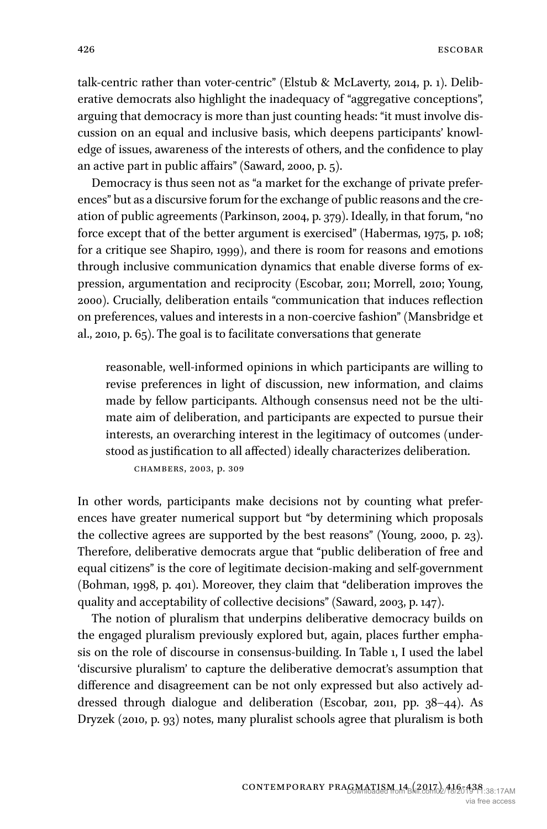talk-centric rather than voter-centric" [\(Elstub & McLaverty, 2014,](#page-19-5) p. 1). Deliberative democrats also highlight the inadequacy of "aggregative conceptions", arguing that democracy is more than just counting heads: "it must involve discussion on an equal and inclusive basis, which deepens participants' knowledge of issues, awareness of the interests of others, and the confidence to play an active part in public affairs" [\(Saward, 2000,](#page-21-9) p. 5).

Democracy is thus seen not as "a market for the exchange of private preferences" but as a discursive forum for the exchange of public reasons and the creation of public agreements [\(Parkinson, 2004](#page-21-10), p. 379). Ideally, in that forum, "no force except that of the better argument is exercised" ([Habermas, 1975](#page-20-5), p. 108; for a critique see [Shapiro, 1999\)](#page-22-4), and there is room for reasons and emotions through inclusive communication dynamics that enable diverse forms of expression, argumentation and reciprocity ([Escobar, 2011; Morrell, 2010; Young,](#page-19-14) [2000](#page-19-14)). Crucially, deliberation entails "communication that induces reflection on preferences, values and interests in a non-coercive fashion" ([Mansbridge et](#page-20-6) [al., 2010](#page-20-6), p. 65). The goal is to facilitate conversations that generate

reasonable, well-informed opinions in which participants are willing to revise preferences in light of discussion, new information, and claims made by fellow participants. Although consensus need not be the ultimate aim of deliberation, and participants are expected to pursue their interests, an overarching interest in the legitimacy of outcomes (understood as justification to all affected) ideally characterizes deliberation.

[chambers, 2003,](#page-18-7) p. 309

In other words, participants make decisions not by counting what preferences have greater numerical support but "by determining which proposals the collective agrees are supported by the best reasons" ([Young, 2000](#page-22-0), p. 23). Therefore, deliberative democrats argue that "public deliberation of free and equal citizens" is the core of legitimate decision-making and self-government ([Bohman, 1998](#page-18-8), p. 401). Moreover, they claim that "deliberation improves the quality and acceptability of collective decisions" [\(Saward, 2003](#page-21-0), p. 147).

The notion of pluralism that underpins deliberative democracy builds on the engaged pluralism previously explored but, again, places further emphasis on the role of discourse in consensus-building. In [Table 1,](#page-2-0) I used the label 'discursive pluralism' to capture the deliberative democrat's assumption that difference and disagreement can be not only expressed but also actively addressed through dialogue and deliberation [\(Escobar, 2011,](#page-19-14) pp. 38–44). As [Dryzek \(2010, p. 93\)](#page-19-11) notes, many pluralist schools agree that pluralism is both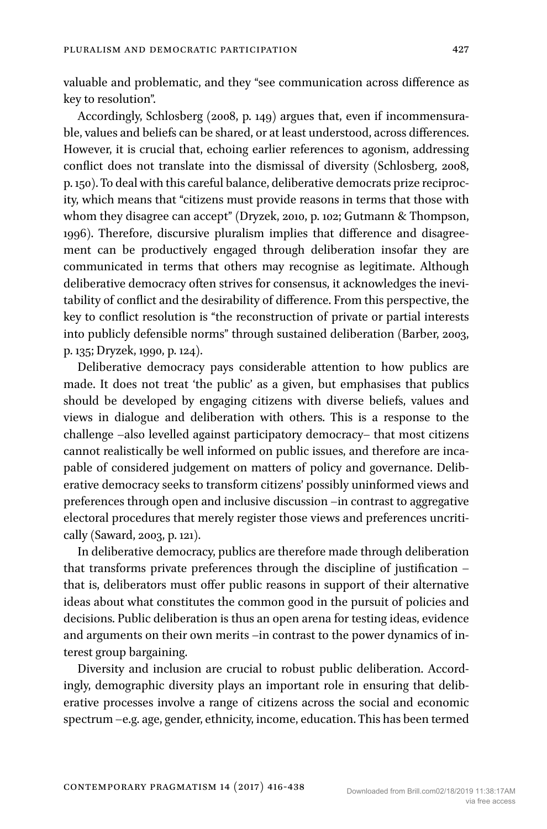valuable and problematic, and they "see communication across difference as key to resolution".

Accordingly, Schlosberg (2008, p. 149) argues that, even if incommensurable, values and beliefs can be shared, or at least understood, across differences. However, it is crucial that, echoing earlier references to agonism, addressing conflict does not translate into the dismissal of diversity ([Schlosberg, 2008,](#page-21-1) p. 150). To deal with this careful balance, deliberative democrats prize reciprocity, which means that "citizens must provide reasons in terms that those with whom they disagree can accept" ([Dryzek, 2010,](#page-19-11) p. 102; [Gutmann & Thompson,](#page-20-7) [1996\)](#page-20-7). Therefore, discursive pluralism implies that difference and disagreement can be productively engaged through deliberation insofar they are communicated in terms that others may recognise as legitimate. Although deliberative democracy often strives for consensus, it acknowledges the inevitability of conflict and the desirability of difference. From this perspective, the key to conflict resolution is "the reconstruction of private or partial interests into publicly defensible norms" through sustained deliberation [\(Barber, 2003,](#page-18-2) p. 135; [Dryzek, 1990](#page-19-8), p. 124).

Deliberative democracy pays considerable attention to how publics are made. It does not treat 'the public' as a given, but emphasises that publics should be developed by engaging citizens with diverse beliefs, values and views in dialogue and deliberation with others. This is a response to the challenge –also levelled against participatory democracy– that most citizens cannot realistically be well informed on public issues, and therefore are incapable of considered judgement on matters of policy and governance. Deliberative democracy seeks to transform citizens' possibly uninformed views and preferences through open and inclusive discussion –in contrast to aggregative electoral procedures that merely register those views and preferences uncritically [\(Saward, 2003](#page-21-0), p. 121).

In deliberative democracy, publics are therefore made through deliberation that transforms private preferences through the discipline of justification – that is, deliberators must offer public reasons in support of their alternative ideas about what constitutes the common good in the pursuit of policies and decisions. Public deliberation is thus an open arena for testing ideas, evidence and arguments on their own merits –in contrast to the power dynamics of interest group bargaining.

Diversity and inclusion are crucial to robust public deliberation. Accordingly, demographic diversity plays an important role in ensuring that deliberative processes involve a range of citizens across the social and economic spectrum –e.g. age, gender, ethnicity, income, education. This has been termed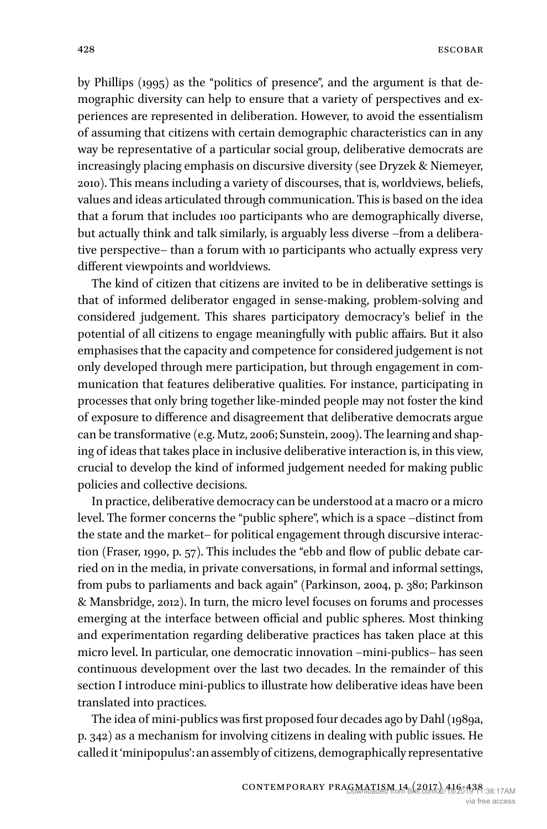by [Phillips \(1995\)](#page-21-11) as the "politics of presence", and the argument is that demographic diversity can help to ensure that a variety of perspectives and experiences are represented in deliberation. However, to avoid the essentialism of assuming that citizens with certain demographic characteristics can in any way be representative of a particular social group, deliberative democrats are increasingly placing emphasis on discursive diversity (see [Dryzek & Niemeyer,](#page-19-15) [2010](#page-19-15)). This means including a variety of discourses, that is, worldviews, beliefs, values and ideas articulated through communication. This is based on the idea that a forum that includes 100 participants who are demographically diverse, but actually think and talk similarly, is arguably less diverse –from a deliberative perspective– than a forum with 10 participants who actually express very different viewpoints and worldviews.

The kind of citizen that citizens are invited to be in deliberative settings is that of informed deliberator engaged in sense-making, problem-solving and considered judgement. This shares participatory democracy's belief in the potential of all citizens to engage meaningfully with public affairs. But it also emphasises that the capacity and competence for considered judgement is not only developed through mere participation, but through engagement in communication that features deliberative qualities. For instance, participating in processes that only bring together like-minded people may not foster the kind of exposure to difference and disagreement that deliberative democrats argue can be transformative (e.g. [Mutz, 2006; Sunstein, 2009](#page-21-12)). The learning and shaping of ideas that takes place in inclusive deliberative interaction is, in this view, crucial to develop the kind of informed judgement needed for making public policies and collective decisions.

In practice, deliberative democracy can be understood at a macro or a micro level. The former concerns the "public sphere", which is a space –distinct from the state and the market– for political engagement through discursive interaction ([Fraser, 1990,](#page-20-8) p. 57). This includes the "ebb and flow of public debate carried on in the media, in private conversations, in formal and informal settings, from pubs to parliaments and back again" [\(Parkinson, 2004](#page-21-10), p. 380; [Parkinson](#page-21-13) [& Mansbridge, 2012](#page-21-13)). In turn, the micro level focuses on forums and processes emerging at the interface between official and public spheres. Most thinking and experimentation regarding deliberative practices has taken place at this micro level. In particular, one democratic innovation –mini-publics– has seen continuous development over the last two decades. In the remainder of this section I introduce mini-publics to illustrate how deliberative ideas have been translated into practices.

The idea of mini-publics was first proposed four decades ago by [Dahl \(1989a,](#page-19-16) [p. 342\)](#page-19-16) as a mechanism for involving citizens in dealing with public issues. He called it 'minipopulus': an assembly of citizens, demographically representative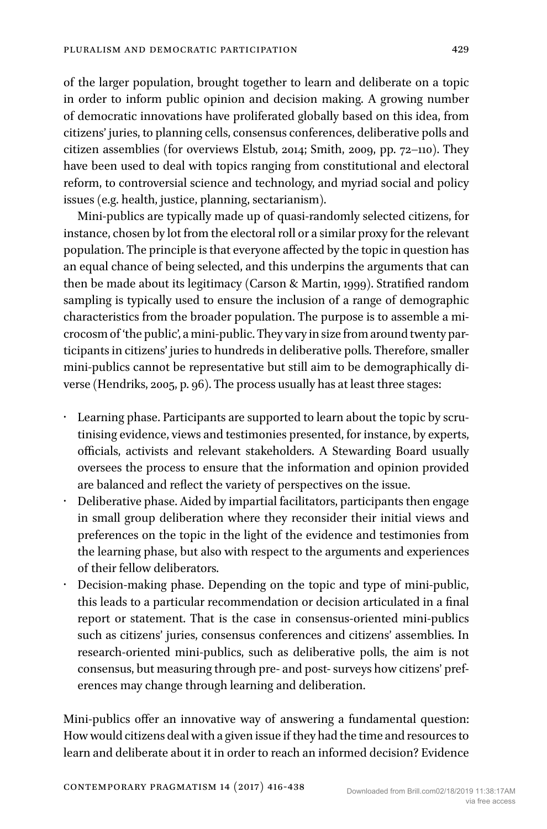of the larger population, brought together to learn and deliberate on a topic in order to inform public opinion and decision making. A growing number of democratic innovations have proliferated globally based on this idea, from citizens' juries, to planning cells, consensus conferences, deliberative polls and citizen assemblies (for overviews [Elstub, 2014; Smith, 2009,](#page-19-17) pp. 72–110). They have been used to deal with topics ranging from constitutional and electoral reform, to controversial science and technology, and myriad social and policy issues (e.g. health, justice, planning, sectarianism).

Mini-publics are typically made up of quasi-randomly selected citizens, for instance, chosen by lot from the electoral roll or a similar proxy for the relevant population. The principle is that everyone affected by the topic in question has an equal chance of being selected, and this underpins the arguments that can then be made about its legitimacy ([Carson & Martin, 1999\)](#page-18-9). Stratified random sampling is typically used to ensure the inclusion of a range of demographic characteristics from the broader population. The purpose is to assemble a microcosm of 'the public', a mini-public. They vary in size from around twenty participants in citizens' juries to hundreds in deliberative polls. Therefore, smaller mini-publics cannot be representative but still aim to be demographically diverse [\(Hendriks, 2005](#page-20-9), p. 96). The process usually has at least three stages:

- Learning phase. Participants are supported to learn about the topic by scrutinising evidence, views and testimonies presented, for instance, by experts, officials, activists and relevant stakeholders. A Stewarding Board usually oversees the process to ensure that the information and opinion provided are balanced and reflect the variety of perspectives on the issue.
- Deliberative phase. Aided by impartial facilitators, participants then engage in small group deliberation where they reconsider their initial views and preferences on the topic in the light of the evidence and testimonies from the learning phase, but also with respect to the arguments and experiences of their fellow deliberators.
- Decision-making phase. Depending on the topic and type of mini-public, this leads to a particular recommendation or decision articulated in a final report or statement. That is the case in consensus-oriented mini-publics such as citizens' juries, consensus conferences and citizens' assemblies. In research-oriented mini-publics, such as deliberative polls, the aim is not consensus, but measuring through pre- and post- surveys how citizens' preferences may change through learning and deliberation.

Mini-publics offer an innovative way of answering a fundamental question: How would citizens deal with a given issue if they had the time and resources to learn and deliberate about it in order to reach an informed decision? Evidence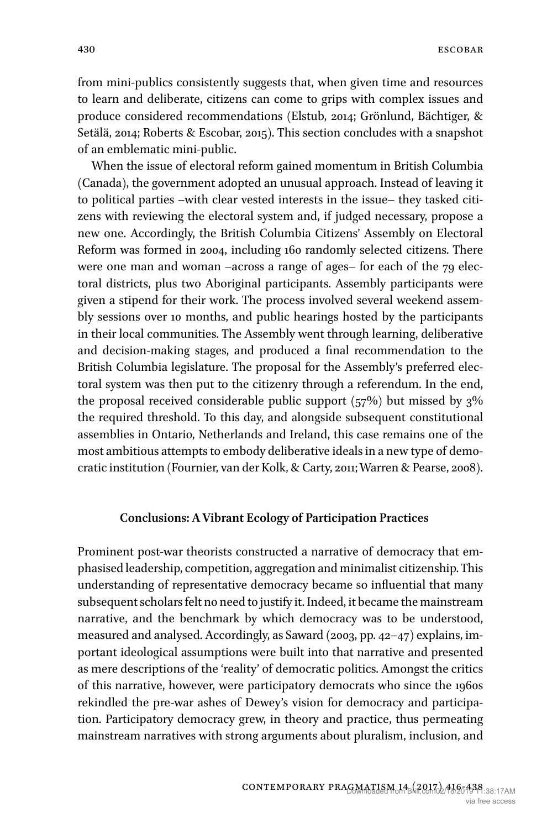from mini-publics consistently suggests that, when given time and resources to learn and deliberate, citizens can come to grips with complex issues and produce considered recommendations [\(Elstub, 2014; Grönlund, Bächtiger, &](#page-19-17) [Setälä, 2014; Roberts & Escobar, 2015\)](#page-19-17). This section concludes with a snapshot of an emblematic mini-public.

When the issue of electoral reform gained momentum in British Columbia (Canada), the government adopted an unusual approach. Instead of leaving it to political parties –with clear vested interests in the issue– they tasked citizens with reviewing the electoral system and, if judged necessary, propose a new one. Accordingly, the British Columbia Citizens' Assembly on Electoral Reform was formed in 2004, including 160 randomly selected citizens. There were one man and woman –across a range of ages– for each of the 79 electoral districts, plus two Aboriginal participants. Assembly participants were given a stipend for their work. The process involved several weekend assembly sessions over 10 months, and public hearings hosted by the participants in their local communities. The Assembly went through learning, deliberative and decision-making stages, and produced a final recommendation to the British Columbia legislature. The proposal for the Assembly's preferred electoral system was then put to the citizenry through a referendum. In the end, the proposal received considerable public support  $(57%)$  but missed by  $3%$ the required threshold. To this day, and alongside subsequent constitutional assemblies in Ontario, Netherlands and Ireland, this case remains one of the most ambitious attempts to embody deliberative ideals in a new type of democratic institution ([Fournier, van der Kolk, & Carty, 2011; Warren & Pearse, 2008\)](#page-20-10).

#### **Conclusions: A Vibrant Ecology of Participation Practices**

Prominent post-war theorists constructed a narrative of democracy that emphasised leadership, competition, aggregation and minimalist citizenship. This understanding of representative democracy became so influential that many subsequent scholars felt no need to justify it. Indeed, it became the mainstream narrative, and the benchmark by which democracy was to be understood, measured and analysed. Accordingly, as [Saward \(2003, pp. 42–47\)](#page-21-0) explains, important ideological assumptions were built into that narrative and presented as mere descriptions of the 'reality' of democratic politics. Amongst the critics of this narrative, however, were participatory democrats who since the 1960s rekindled the pre-war ashes of Dewey's vision for democracy and participation. Participatory democracy grew, in theory and practice, thus permeating mainstream narratives with strong arguments about pluralism, inclusion, and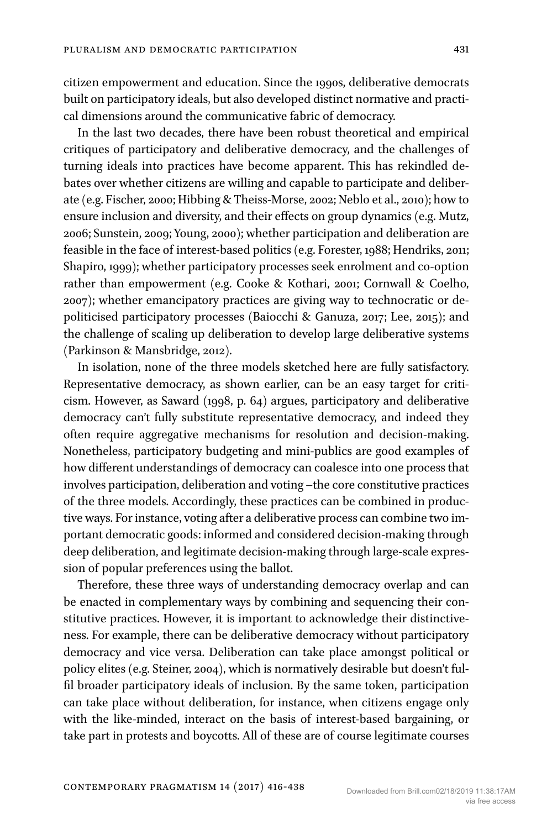citizen empowerment and education. Since the 1990s, deliberative democrats built on participatory ideals, but also developed distinct normative and practical dimensions around the communicative fabric of democracy.

In the last two decades, there have been robust theoretical and empirical critiques of participatory and deliberative democracy, and the challenges of turning ideals into practices have become apparent. This has rekindled debates over whether citizens are willing and capable to participate and deliberate (e.g. [Fischer, 2000; Hibbing & Theiss-Morse, 2002; Neblo et al., 2010\)](#page-19-18); how to ensure inclusion and diversity, and their effects on group dynamics (e.g. [Mutz,](#page-21-12) [2006; Sunstein, 2009; Young, 2000\)](#page-21-12); whether participation and deliberation are feasible in the face of interest-based politics (e.g. [Forester, 1988; Hendriks, 2011;](#page-20-11) [Shapiro, 1999\)](#page-20-11); whether participatory processes seek enrolment and co-option rather than empowerment (e.g. [Cooke & Kothari, 2001; Cornwall & Coelho,](#page-18-10) [2007](#page-18-10)); whether emancipatory practices are giving way to technocratic or depoliticised participatory processes [\(Baiocchi & Ganuza, 2017; Lee, 2015](#page-18-11)); and the challenge of scaling up deliberation to develop large deliberative systems ([Parkinson & Mansbridge, 2012\)](#page-21-13).

In isolation, none of the three models sketched here are fully satisfactory. Representative democracy, as shown earlier, can be an easy target for criticism. However, as [Saward \(1998, p. 64\)](#page-21-14) argues, participatory and deliberative democracy can't fully substitute representative democracy, and indeed they often require aggregative mechanisms for resolution and decision-making. Nonetheless, participatory budgeting and mini-publics are good examples of how different understandings of democracy can coalesce into one process that involves participation, deliberation and voting –the core constitutive practices of the three models. Accordingly, these practices can be combined in productive ways. For instance, voting after a deliberative process can combine two important democratic goods: informed and considered decision-making through deep deliberation, and legitimate decision-making through large-scale expression of popular preferences using the ballot.

Therefore, these three ways of understanding democracy overlap and can be enacted in complementary ways by combining and sequencing their constitutive practices. However, it is important to acknowledge their distinctiveness. For example, there can be deliberative democracy without participatory democracy and vice versa. Deliberation can take place amongst political or policy elites (e.g. [Steiner, 2004\)](#page-22-5), which is normatively desirable but doesn't fulfil broader participatory ideals of inclusion. By the same token, participation can take place without deliberation, for instance, when citizens engage only with the like-minded, interact on the basis of interest-based bargaining, or take part in protests and boycotts. All of these are of course legitimate courses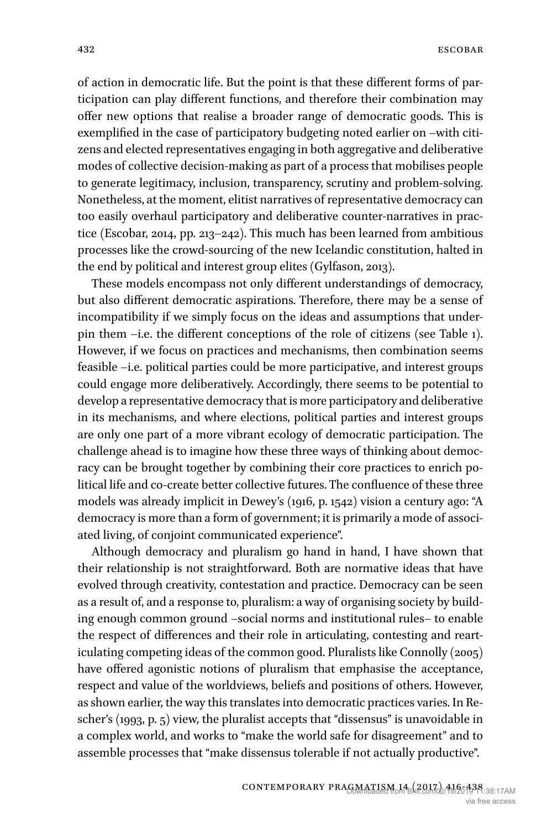of action in democratic life. But the point is that these different forms of participation can play different functions, and therefore their combination may offer new options that realise a broader range of democratic goods. This is exemplified in the case of participatory budgeting noted earlier on –with citizens and elected representatives engaging in both aggregative and deliberative modes of collective decision-making as part of a process that mobilises people to generate legitimacy, inclusion, transparency, scrutiny and problem-solving. Nonetheless, at the moment, elitist narratives of representative democracy can too easily overhaul participatory and deliberative counter-narratives in practice [\(Escobar, 2014,](#page-19-10) pp. 213–242). This much has been learned from ambitious processes like the crowd-sourcing of the new Icelandic constitution, halted in the end by political and interest group elites ([Gylfason, 2013\)](#page-20-12).

These models encompass not only different understandings of democracy, but also different democratic aspirations. Therefore, there may be a sense of incompatibility if we simply focus on the ideas and assumptions that underpin them –i.e. the different conceptions of the role of citizens (see [Table 1\)](#page-2-0). However, if we focus on practices and mechanisms, then combination seems feasible –i.e. political parties could be more participative, and interest groups could engage more deliberatively. Accordingly, there seems to be potential to develop a representative democracy that is more participatory and deliberative in its mechanisms, and where elections, political parties and interest groups are only one part of a more vibrant ecology of democratic participation. The challenge ahead is to imagine how these three ways of thinking about democracy can be brought together by combining their core practices to enrich political life and co-create better collective futures. The confluence of these three models was already implicit in [Dewey's \(1916, p. 1542\)](#page-19-2) vision a century ago: "A democracy is more than a form of government; it is primarily a mode of associated living, of conjoint communicated experience".

Although democracy and pluralism go hand in hand, I have shown that their relationship is not straightforward. Both are normative ideas that have evolved through creativity, contestation and practice. Democracy can be seen as a result of, and a response to, pluralism: a way of organising society by building enough common ground –social norms and institutional rules– to enable the respect of differences and their role in articulating, contesting and rearticulating competing ideas of the common good. Pluralists like [Connolly \(2005\)](#page-18-12) have offered agonistic notions of pluralism that emphasise the acceptance, respect and value of the worldviews, beliefs and positions of others. However, as shown earlier, the way this translates into democratic practices varies. In [Re](#page-21-15)[scher's \(1993, p. 5\)](#page-21-15) view, the pluralist accepts that "dissensus" is unavoidable in a complex world, and works to "make the world safe for disagreement" and to assemble processes that "make dissensus tolerable if not actually productive".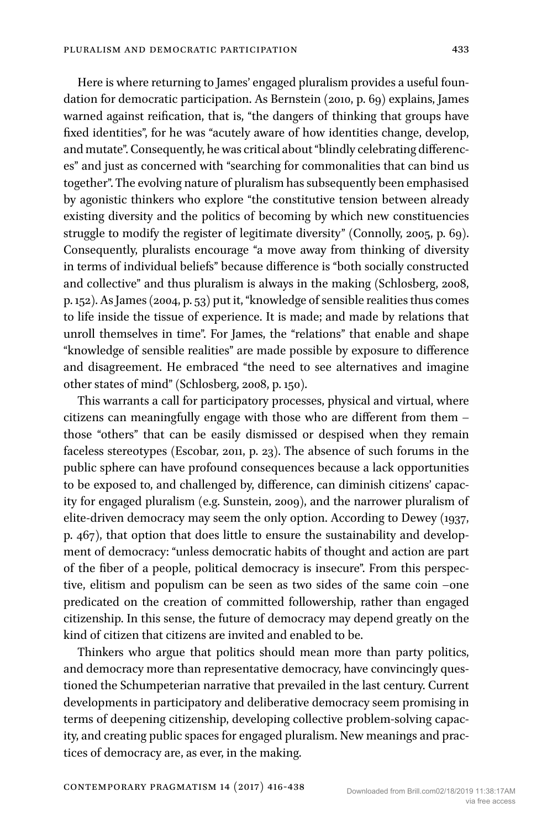Here is where returning to James' engaged pluralism provides a useful foundation for democratic participation. As [Bernstein \(2010, p. 69\)](#page-18-0) explains, James warned against reification, that is, "the dangers of thinking that groups have fixed identities", for he was "acutely aware of how identities change, develop, and mutate". Consequently, he was critical about "blindly celebrating differences" and just as concerned with "searching for commonalities that can bind us together". The evolving nature of pluralism has subsequently been emphasised by agonistic thinkers who explore "the constitutive tension between already existing diversity and the politics of becoming by which new constituencies struggle to modify the register of legitimate diversity" ([Connolly, 2005,](#page-18-12) p. 69). Consequently, pluralists encourage "a move away from thinking of diversity in terms of individual beliefs" because difference is "both socially constructed and collective" and thus pluralism is always in the making ([Schlosberg, 2008,](#page-21-1) p. 152). As [James \(2004, p. 53\)](#page-20-13) put it, "knowledge of sensible realities thus comes to life inside the tissue of experience. It is made; and made by relations that unroll themselves in time". For James, the "relations" that enable and shape "knowledge of sensible realities" are made possible by exposure to difference and disagreement. He embraced "the need to see alternatives and imagine other states of mind" ([Schlosberg, 2008](#page-21-1), p. 150).

This warrants a call for participatory processes, physical and virtual, where citizens can meaningfully engage with those who are different from them – those "others" that can be easily dismissed or despised when they remain faceless stereotypes ([Escobar, 2011,](#page-19-14) p. 23). The absence of such forums in the public sphere can have profound consequences because a lack opportunities to be exposed to, and challenged by, difference, can diminish citizens' capacity for engaged pluralism (e.g. [Sunstein, 2009\)](#page-22-6), and the narrower pluralism of elite-driven democracy may seem the only option. According to [Dewey \(1937,](#page-19-3) [p. 467\)](#page-19-3), that option that does little to ensure the sustainability and development of democracy: "unless democratic habits of thought and action are part of the fiber of a people, political democracy is insecure". From this perspective, elitism and populism can be seen as two sides of the same coin –one predicated on the creation of committed followership, rather than engaged citizenship. In this sense, the future of democracy may depend greatly on the kind of citizen that citizens are invited and enabled to be.

Thinkers who argue that politics should mean more than party politics, and democracy more than representative democracy, have convincingly questioned the Schumpeterian narrative that prevailed in the last century. Current developments in participatory and deliberative democracy seem promising in terms of deepening citizenship, developing collective problem-solving capacity, and creating public spaces for engaged pluralism. New meanings and practices of democracy are, as ever, in the making.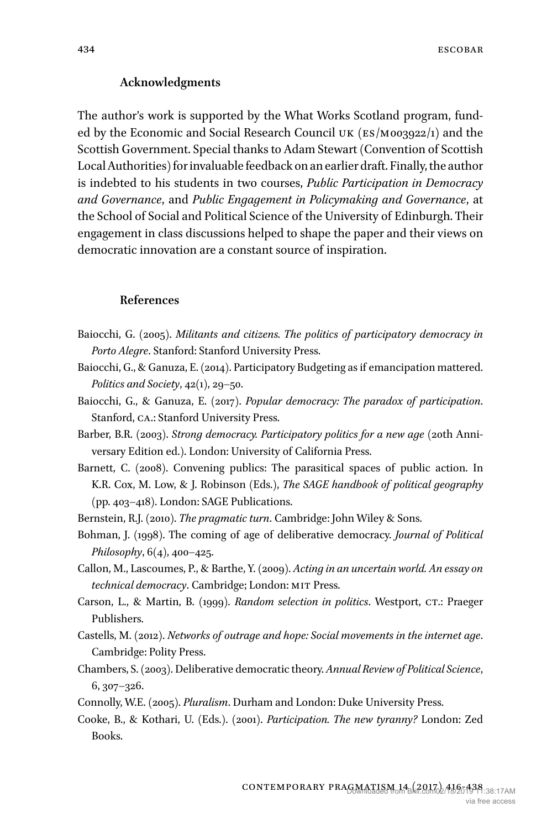#### **Acknowledgments**

The author's work is supported by the What Works Scotland program, funded by the Economic and Social Research Council UK (ES/M003922/1) and the Scottish Government. Special thanks to Adam Stewart (Convention of Scottish Local Authorities) for invaluable feedback on an earlier draft. Finally, the author is indebted to his students in two courses, *Public Participation in Democracy and Governance*, and *Public Engagement in Policymaking and Governance*, at the School of Social and Political Science of the University of Edinburgh. Their engagement in class discussions helped to shape the paper and their views on democratic innovation are a constant source of inspiration.

#### **References**

- <span id="page-18-5"></span>Baiocchi, G. (2005). *Militants and citizens. The politics of participatory democracy in Porto Alegre*. Stanford: Stanford University Press.
- <span id="page-18-6"></span>Baiocchi, G., & Ganuza, E. (2014). Participatory Budgeting as if emancipation mattered. *Politics and Society*, 42(1), 29–50.
- <span id="page-18-11"></span>Baiocchi, G., & Ganuza, E. (2017). *Popular democracy: The paradox of participation*. Stanford, ca.: Stanford University Press.
- <span id="page-18-2"></span>Barber, B.R. (2003). *Strong democracy. Participatory politics for a new age* (20th Anniversary Edition ed.). London: University of California Press.
- <span id="page-18-1"></span>Barnett, C. (2008). Convening publics: The parasitical spaces of public action. In K.R. Cox, M. Low, & J. Robinson (Eds.), *The SAGE handbook of political geography* (pp. 403–418). London: SAGE Publications.
- <span id="page-18-0"></span>Bernstein, R.J. (2010). *The pragmatic turn*. Cambridge: John Wiley & Sons.
- <span id="page-18-8"></span>Bohman, J. (1998). The coming of age of deliberative democracy. *Journal of Political Philosophy*, 6(4), 400–425.
- <span id="page-18-4"></span>Callon, M., Lascoumes, P., & Barthe, Y. (2009). *Acting in an uncertain world. An essay on technical democracy*. Cambridge; London: mit Press.
- <span id="page-18-9"></span>Carson, L., & Martin, B. (1999). *Random selection in politics*. Westport, CT.: Praeger Publishers.
- <span id="page-18-3"></span>Castells, M. (2012). *Networks of outrage and hope: Social movements in the internet age*. Cambridge: Polity Press.
- <span id="page-18-7"></span>Chambers, S. (2003). Deliberative democratic theory. *Annual Review of Political Science*, 6, 307–326.
- <span id="page-18-12"></span>Connolly, W.E. (2005). *Pluralism*. Durham and London: Duke University Press.
- <span id="page-18-10"></span>Cooke, B., & Kothari, U. (Eds.). (2001). *Participation. The new tyranny?* London: Zed Books.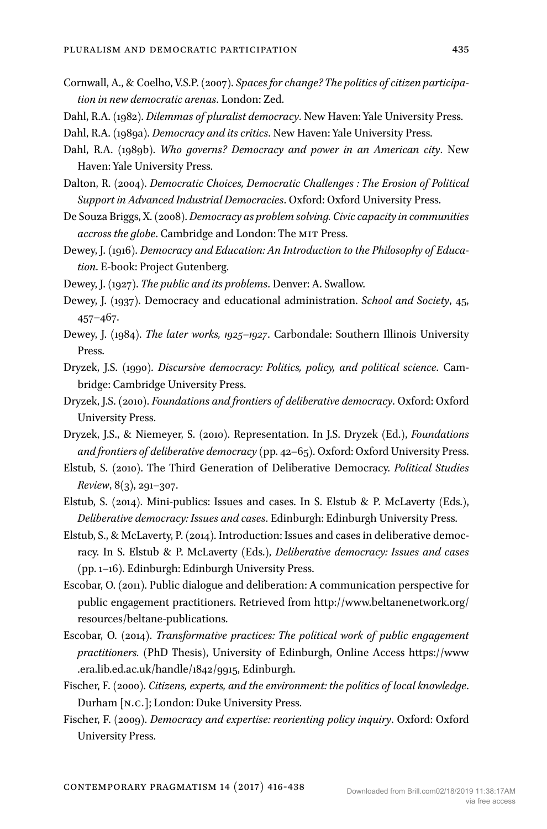- Cornwall, A., & Coelho, V.S.P. (2007). *Spaces for change? The politics of citizen participation in new democratic arenas*. London: Zed.
- <span id="page-19-7"></span>Dahl, R.A. (1982). *Dilemmas of pluralist democracy*. New Haven: Yale University Press.
- <span id="page-19-16"></span>Dahl, R.A. (1989a). *Democracy and its critics*. New Haven: Yale University Press.
- <span id="page-19-6"></span>Dahl, R.A. (1989b). *Who governs? Democracy and power in an American city*. New Haven: Yale University Press.
- <span id="page-19-1"></span>Dalton, R. (2004). *Democratic Choices, Democratic Challenges : The Erosion of Political Support in Advanced Industrial Democracies*. Oxford: Oxford University Press.
- <span id="page-19-12"></span>De Souza Briggs, X. (2008). *Democracy as problem solving. Civic capacity in communities accross the globe*. Cambridge and London: The mit Press.
- <span id="page-19-2"></span>Dewey, J. (1916). *Democracy and Education: An Introduction to the Philosophy of Education*. E-book: Project Gutenberg.
- <span id="page-19-4"></span>Dewey, J. (1927). *The public and its problems*. Denver: A. Swallow.
- <span id="page-19-3"></span>Dewey, J. (1937). Democracy and educational administration. *School and Society*, 45, 457–467.
- <span id="page-19-0"></span>Dewey, J. (1984). *The later works, 1925–1927*. Carbondale: Southern Illinois University Press.
- <span id="page-19-8"></span>Dryzek, J.S. (1990). *Discursive democracy: Politics, policy, and political science*. Cambridge: Cambridge University Press.
- <span id="page-19-11"></span>Dryzek, J.S. (2010). *Foundations and frontiers of deliberative democracy*. Oxford: Oxford University Press.
- <span id="page-19-15"></span>Dryzek, J.S., & Niemeyer, S. (2010). Representation. In J.S. Dryzek (Ed.), *Foundations and frontiers of deliberative democracy* (pp. 42–65). Oxford: Oxford University Press.
- <span id="page-19-13"></span>Elstub, S. (2010). The Third Generation of Deliberative Democracy. *Political Studies Review*, 8(3), 291–307.
- <span id="page-19-17"></span>Elstub, S. (2014). Mini-publics: Issues and cases. In S. Elstub & P. McLaverty (Eds.), *Deliberative democracy: Issues and cases*. Edinburgh: Edinburgh University Press.
- <span id="page-19-5"></span>Elstub, S., & McLaverty, P. (2014). Introduction: Issues and cases in deliberative democracy. In S. Elstub & P. McLaverty (Eds.), *Deliberative democracy: Issues and cases* (pp. 1–16). Edinburgh: Edinburgh University Press.
- <span id="page-19-14"></span>Escobar, O. (2011). Public dialogue and deliberation: A communication perspective for public engagement practitioners. Retrieved from [http://www.beltanenetwork.org/](http://www.beltanenetwork.org/resources/beltane-publications) [resources/beltane-publications](http://www.beltanenetwork.org/resources/beltane-publications).
- <span id="page-19-10"></span>Escobar, O. (2014). *Transformative practices: The political work of public engagement practitioners.* (PhD Thesis), University of Edinburgh, Online Access [https://www](https://www.era.lib.ed.ac.uk/handle/1842/9915) [.era.lib.ed.ac.uk/handle/1842/9915,](https://www.era.lib.ed.ac.uk/handle/1842/9915) Edinburgh.
- <span id="page-19-18"></span>Fischer, F. (2000). *Citizens, experts, and the environment: the politics of local knowledge*. Durham [n.c.]; London: Duke University Press.
- <span id="page-19-9"></span>Fischer, F. (2009). *Democracy and expertise: reorienting policy inquiry*. Oxford: Oxford University Press.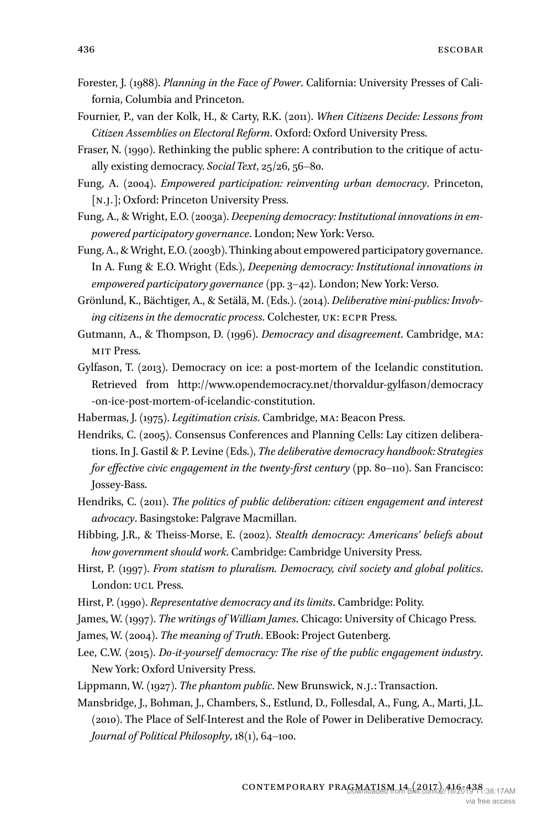- <span id="page-20-11"></span>Forester, J. (1988). *Planning in the Face of Power*. California: University Presses of California, Columbia and Princeton.
- <span id="page-20-10"></span>Fournier, P., van der Kolk, H., & Carty, R.K. (2011). *When Citizens Decide: Lessons from Citizen Assemblies on Electoral Reform*. Oxford: Oxford University Press.
- <span id="page-20-8"></span>Fraser, N. (1990). Rethinking the public sphere: A contribution to the critique of actually existing democracy. *Social Text*, 25/26, 56–80.
- Fung, A. (2004). *Empowered participation: reinventing urban democracy*. Princeton, [n.j.]; Oxford: Princeton University Press.
- Fung, A., & Wright, E.O. (2003a). *Deepening democracy: Institutional innovations in empowered participatory governance*. London; New York: Verso.
- <span id="page-20-2"></span>Fung, A., & Wright, E.O. (2003b). Thinking about empowered participatory governance. In A. Fung & E.O. Wright (Eds.), *Deepening democracy: Institutional innovations in empowered participatory governance* (pp. 3–42). London; New York: Verso.
- Grönlund, K., Bächtiger, A., & Setälä, M. (Eds.). (2014). *Deliberative mini-publics: Involving citizens in the democratic process*. Colchester, uk: ecpr Press.
- <span id="page-20-7"></span>Gutmann, A., & Thompson, D. (1996). *Democracy and disagreement*. Cambridge, ma: mit Press.
- <span id="page-20-12"></span>Gylfason, T. (2013). Democracy on ice: a post-mortem of the Icelandic constitution. Retrieved from [http://www.opendemocracy.net/thorvaldur-gylfason/democracy](http://www.opendemocracy.net/thorvaldur-gylfason/democracy-on-ice-post-mortem-of-icelandic-constitution) [-on-ice-post-mortem-of-icelandic-constitution](http://www.opendemocracy.net/thorvaldur-gylfason/democracy-on-ice-post-mortem-of-icelandic-constitution).
- <span id="page-20-5"></span>Habermas, J. (1975). *Legitimation crisis*. Cambridge, ma: Beacon Press.
- <span id="page-20-9"></span>Hendriks, C. (2005). Consensus Conferences and Planning Cells: Lay citizen deliberations. In J. Gastil & P. Levine (Eds.), *The deliberative democracy handbook: Strategies for effective civic engagement in the twenty-first century* (pp. 80–110). San Francisco: Jossey-Bass.
- Hendriks, C. (2011). *The politics of public deliberation: citizen engagement and interest advocacy*. Basingstoke: Palgrave Macmillan.
- <span id="page-20-1"></span>Hibbing, J.R., & Theiss-Morse, E. (2002). *Stealth democracy: Americans' beliefs about how government should work*. Cambridge: Cambridge University Press.
- <span id="page-20-3"></span>Hirst, P. (1997). *From statism to pluralism. Democracy, civil society and global politics*. London: UCL Press.
- Hirst, P. (1990). *Representative democracy and its limits*. Cambridge: Polity.

<span id="page-20-0"></span>James, W. (1997). *The writings of William James*. Chicago: University of Chicago Press.

- <span id="page-20-13"></span>James, W. (2004). *The meaning of Truth*. EBook: Project Gutenberg.
- Lee, C.W. (2015). *Do-it-yourself democracy: The rise of the public engagement industry*. New York: Oxford University Press.
- <span id="page-20-4"></span>Lippmann, W. (1927). *The phantom public*. New Brunswick, n.j.: Transaction.
- <span id="page-20-6"></span>Mansbridge, J., Bohman, J., Chambers, S., Estlund, D., Follesdal, A., Fung, A., Marti, J.L. (2010). The Place of Self-Interest and the Role of Power in Deliberative Democracy. *Journal of Political Philosophy*, 18(1), 64–100.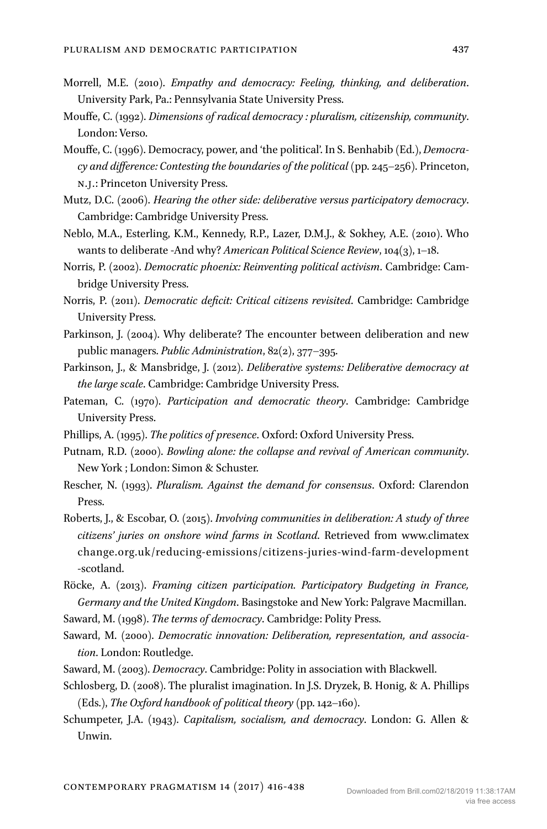- Morrell, M.E. (2010). *Empathy and democracy: Feeling, thinking, and deliberation*. University Park, Pa.: Pennsylvania State University Press.
- <span id="page-21-6"></span>Mouffe, C. (1992). *Dimensions of radical democracy : pluralism, citizenship, community*. London: Verso.
- <span id="page-21-7"></span>Mouffe, C. (1996). Democracy, power, and 'the political'. In S. Benhabib (Ed.), *Democracy and difference: Contesting the boundaries of the political* (pp. 245–256). Princeton, n.j.: Princeton University Press.
- <span id="page-21-12"></span>Mutz, D.C. (2006). *Hearing the other side: deliberative versus participatory democracy*. Cambridge: Cambridge University Press.
- <span id="page-21-3"></span>Neblo, M.A., Esterling, K.M., Kennedy, R.P., Lazer, D.M.J., & Sokhey, A.E. (2010). Who wants to deliberate -And why? *American Political Science Review*, 104(3), 1–18.
- Norris, P. (2002). *Democratic phoenix: Reinventing political activism*. Cambridge: Cambridge University Press.
- Norris, P. (2011). *Democratic deficit: Critical citizens revisited*. Cambridge: Cambridge University Press.
- <span id="page-21-10"></span>Parkinson, J. (2004). Why deliberate? The encounter between deliberation and new public managers. *Public Administration*, 82(2), 377–395.
- <span id="page-21-13"></span>Parkinson, J., & Mansbridge, J. (2012). *Deliberative systems: Deliberative democracy at the large scale*. Cambridge: Cambridge University Press.
- <span id="page-21-5"></span>Pateman, C. (1970). *Participation and democratic theory*. Cambridge: Cambridge University Press.
- <span id="page-21-11"></span>Phillips, A. (1995). *The politics of presence*. Oxford: Oxford University Press.
- <span id="page-21-4"></span>Putnam, R.D. (2000). *Bowling alone: the collapse and revival of American community*. New York ; London: Simon & Schuster.
- <span id="page-21-15"></span>Rescher, N. (1993). *Pluralism. Against the demand for consensus*. Oxford: Clarendon Press.
- Roberts, J., & Escobar, O. (2015). *Involving communities in deliberation: A study of three citizens' juries on onshore wind farms in Scotland*. Retrieved from [www.climatex](www.climatexchange.org.uk/reducing-emissions/citizens-juries-wind-farm-development-scotland ) [change.org.uk/reducing-emissions/citizens-juries-wind-farm-development](www.climatexchange.org.uk/reducing-emissions/citizens-juries-wind-farm-development-scotland ) [-scotland.](www.climatexchange.org.uk/reducing-emissions/citizens-juries-wind-farm-development-scotland )
- <span id="page-21-8"></span>Röcke, A. (2013). *Framing citizen participation. Participatory Budgeting in France, Germany and the United Kingdom*. Basingstoke and New York: Palgrave Macmillan.

<span id="page-21-14"></span>Saward, M. (1998). *The terms of democracy*. Cambridge: Polity Press.

- <span id="page-21-9"></span>Saward, M. (2000). *Democratic innovation: Deliberation, representation, and association*. London: Routledge.
- <span id="page-21-0"></span>Saward, M. (2003). *Democracy*. Cambridge: Polity in association with Blackwell.
- <span id="page-21-1"></span>Schlosberg, D. (2008). The pluralist imagination. In J.S. Dryzek, B. Honig, & A. Phillips (Eds.), *The Oxford handbook of political theory* (pp. 142–160).
- <span id="page-21-2"></span>Schumpeter, J.A. (1943). *Capitalism, socialism, and democracy*. London: G. Allen & Unwin.